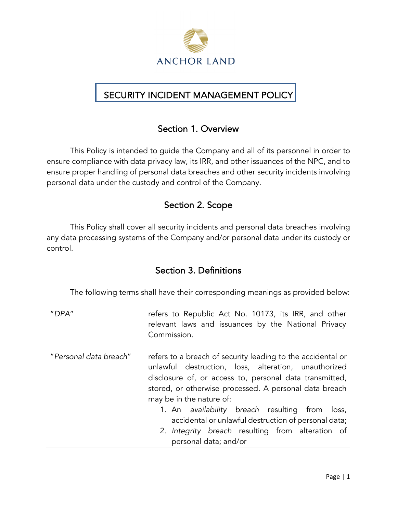

### j SECURITY INCIDENT MANAGEMENT POLICY

# Section 1. Overview

This Policy is intended to guide the Company and all of its personnel in order to ensure compliance with data privacy law, its IRR, and other issuances of the NPC, and to ensure proper handling of personal data breaches and other security incidents involving personal data under the custody and control of the Company.

# Section 2. Scope

This Policy shall cover all security incidents and personal data breaches involving any data processing systems of the Company and/or personal data under its custody or control.

# Section 3. Definitions

The following terms shall have their corresponding meanings as provided below:

"*DPA*" refers to Republic Act No. 10173, its IRR, and other relevant laws and issuances by the National Privacy Commission.

| "Personal data breach" | refers to a breach of security leading to the accidental or |  |  |
|------------------------|-------------------------------------------------------------|--|--|
|                        | unlawful destruction, loss, alteration, unauthorized        |  |  |
|                        | disclosure of, or access to, personal data transmitted,     |  |  |
|                        | stored, or otherwise processed. A personal data breach      |  |  |
|                        | may be in the nature of:                                    |  |  |
|                        | 1. An availability breach resulting from loss,              |  |  |
|                        | accidental or unlawful destruction of personal data;        |  |  |

2. *Integrity breach* resulting from alteration of personal data; and/or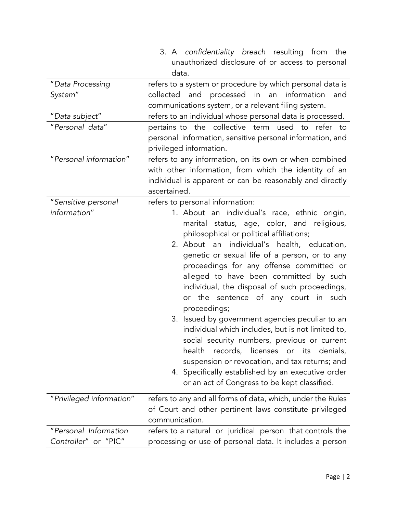|                          | 3. A confidentiality breach resulting from the              |  |  |
|--------------------------|-------------------------------------------------------------|--|--|
|                          | unauthorized disclosure of or access to personal            |  |  |
|                          | data.                                                       |  |  |
| "Data Processing         | refers to a system or procedure by which personal data is   |  |  |
| System"                  | collected and processed in<br>information<br>an<br>and      |  |  |
|                          | communications system, or a relevant filing system.         |  |  |
| "Data subject"           | refers to an individual whose personal data is processed.   |  |  |
| "Personal data"          | pertains to the collective term used to<br>refer to         |  |  |
|                          | personal information, sensitive personal information, and   |  |  |
|                          | privileged information.                                     |  |  |
| "Personal information"   | refers to any information, on its own or when combined      |  |  |
|                          | with other information, from which the identity of an       |  |  |
|                          | individual is apparent or can be reasonably and directly    |  |  |
|                          | ascertained.                                                |  |  |
| "Sensitive personal      | refers to personal information:                             |  |  |
| information"             | 1. About an individual's race, ethnic origin,               |  |  |
|                          | marital status, age, color, and religious,                  |  |  |
|                          | philosophical or political affiliations;                    |  |  |
|                          | 2. About an individual's health, education,                 |  |  |
|                          | genetic or sexual life of a person, or to any               |  |  |
|                          | proceedings for any offense committed or                    |  |  |
|                          | alleged to have been committed by such                      |  |  |
|                          | individual, the disposal of such proceedings,               |  |  |
|                          | or the sentence of any court in such                        |  |  |
|                          | proceedings;                                                |  |  |
|                          | 3. Issued by government agencies peculiar to an             |  |  |
|                          | individual which includes, but is not limited to,           |  |  |
|                          | social security numbers, previous or current                |  |  |
|                          | records, licenses or its denials,<br>health                 |  |  |
|                          | suspension or revocation, and tax returns; and              |  |  |
|                          | 4. Specifically established by an executive order           |  |  |
|                          | or an act of Congress to be kept classified.                |  |  |
|                          |                                                             |  |  |
| "Privileged information" | refers to any and all forms of data, which, under the Rules |  |  |
|                          | of Court and other pertinent laws constitute privileged     |  |  |
|                          | communication.                                              |  |  |
| "Personal Information    | refers to a natural or juridical person that controls the   |  |  |
| Controller" or "PIC"     | processing or use of personal data. It includes a person    |  |  |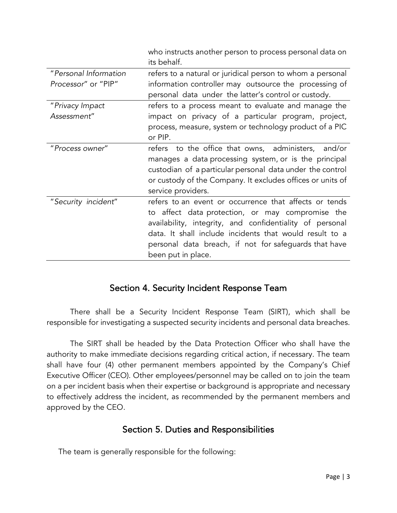|                                              | who instructs another person to process personal data on<br>its behalf.                                                                                                                                                                                                                                          |
|----------------------------------------------|------------------------------------------------------------------------------------------------------------------------------------------------------------------------------------------------------------------------------------------------------------------------------------------------------------------|
| "Personal Information<br>Processor" or "PIP" | refers to a natural or juridical person to whom a personal<br>information controller may outsource the processing of<br>personal data under the latter's control or custody.                                                                                                                                     |
| "Privacy Impact<br>Assessment"               | refers to a process meant to evaluate and manage the<br>impact on privacy of a particular program, project,<br>process, measure, system or technology product of a PIC<br>or PIP.                                                                                                                                |
| "Process owner"                              | refers to the office that owns, administers, and/or<br>manages a data processing system, or is the principal<br>custodian of a particular personal data under the control<br>or custody of the Company. It excludes offices or units of<br>service providers.                                                    |
| "Security incident"                          | refers to an event or occurrence that affects or tends<br>to affect data protection, or may compromise the<br>availability, integrity, and confidentiality of personal<br>data. It shall include incidents that would result to a<br>personal data breach, if not for safeguards that have<br>been put in place. |

### Section 4. Security Incident Response Team

There shall be a Security Incident Response Team (SIRT), which shall be responsible for investigating a suspected security incidents and personal data breaches.

The SIRT shall be headed by the Data Protection Officer who shall have the authority to make immediate decisions regarding critical action, if necessary. The team shall have four (4) other permanent members appointed by the Company's Chief Executive Officer (CEO). Other employees/personnel may be called on to join the team on a per incident basis when their expertise or background is appropriate and necessary to effectively address the incident, as recommended by the permanent members and approved by the CEO.

### Section 5. Duties and Responsibilities

The team is generally responsible for the following: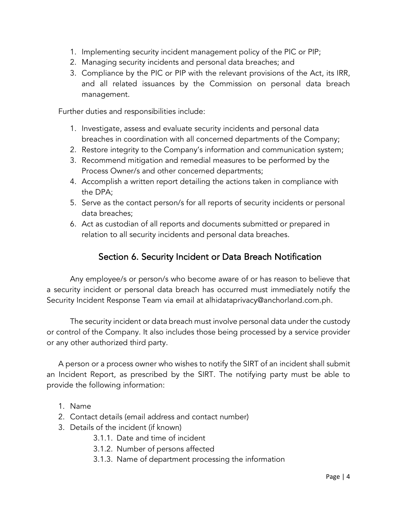- 1. Implementing security incident management policy of the PIC or PIP;
- 2. Managing security incidents and personal data breaches; and
- 3. Compliance by the PIC or PIP with the relevant provisions of the Act, its IRR, and all related issuances by the Commission on personal data breach management.

Further duties and responsibilities include:

- 1. Investigate, assess and evaluate security incidents and personal data breaches in coordination with all concerned departments of the Company;
- 2. Restore integrity to the Company's information and communication system;
- 3. Recommend mitigation and remedial measures to be performed by the Process Owner/s and other concerned departments;
- 4. Accomplish a written report detailing the actions taken in compliance with the DPA;
- 5. Serve as the contact person/s for all reports of security incidents or personal data breaches;
- 6. Act as custodian of all reports and documents submitted or prepared in relation to all security incidents and personal data breaches.

## Section 6. Security Incident or Data Breach Notification

Any employee/s or person/s who become aware of or has reason to believe that a security incident or personal data breach has occurred must immediately notify the Security Incident Response Team via email at alhidataprivacy@anchorland.com.ph.

The security incident or data breach must involve personal data under the custody or control of the Company. It also includes those being processed by a service provider or any other authorized third party.

A person or a process owner who wishes to notify the SIRT of an incident shall submit an Incident Report, as prescribed by the SIRT. The notifying party must be able to provide the following information:

- 1. Name
- 2. Contact details (email address and contact number)
- 3. Details of the incident (if known)
	- 3.1.1. Date and time of incident
	- 3.1.2. Number of persons affected
	- 3.1.3. Name of department processing the information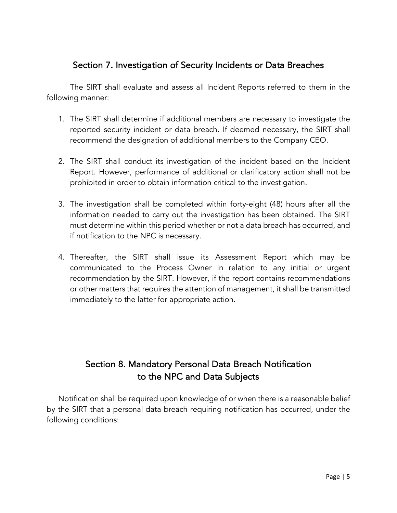### Section 7. Investigation of Security Incidents or Data Breaches

The SIRT shall evaluate and assess all Incident Reports referred to them in the following manner:

- 1. The SIRT shall determine if additional members are necessary to investigate the reported security incident or data breach. If deemed necessary, the SIRT shall recommend the designation of additional members to the Company CEO.
- 2. The SIRT shall conduct its investigation of the incident based on the Incident Report. However, performance of additional or clarificatory action shall not be prohibited in order to obtain information critical to the investigation.
- 3. The investigation shall be completed within forty-eight (48) hours after all the information needed to carry out the investigation has been obtained. The SIRT must determine within this period whether or not a data breach has occurred, and if notification to the NPC is necessary.
- 4. Thereafter, the SIRT shall issue its Assessment Report which may be communicated to the Process Owner in relation to any initial or urgent recommendation by the SIRT. However, if the report contains recommendations or other matters that requires the attention of management, it shall be transmitted immediately to the latter for appropriate action.

# Section 8. Mandatory Personal Data Breach Notification to the NPC and Data Subjects

Notification shall be required upon knowledge of or when there is a reasonable belief by the SIRT that a personal data breach requiring notification has occurred, under the following conditions: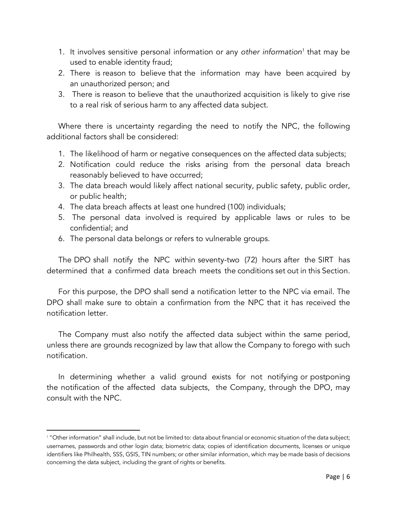- 1. It involves sensitive personal information or any *other information1* that may be used to enable identity fraud;
- 2. There is reason to believe that the information may have been acquired by an unauthorized person; and
- 3. There is reason to believe that the unauthorized acquisition is likely to give rise to a real risk of serious harm to any affected data subject.

Where there is uncertainty regarding the need to notify the NPC, the following additional factors shall be considered:

- 1. The likelihood of harm or negative consequences on the affected data subjects;
- 2. Notification could reduce the risks arising from the personal data breach reasonably believed to have occurred;
- 3. The data breach would li*k*ely affect national security, public safety, public order, or public health;
- 4. The data breach affects at least one hundred (100) individuals;
- 5. The personal data involved is required by applicable laws or rules to be confidential; and
- 6. The personal data belongs or refers to vulnerable groups.

The DPO shall notify the NPC within seventy-two (72) hours after the SIRT has determined that a confirmed data breach meets the conditions set out in this Section.

For this purpose, the DPO shall send a notification letter to the NPC via email. The DPO shall make sure to obtain a confirmation from the NPC that it has received the notification letter.

The Company must also notify the affected data subject within the same period, unless there are grounds recognized by law that allow the Company to forego with such notification.

In determining whether a valid ground exists for not notifying or postponing the notification of the affected data subjects, the Company, through the DPO, may consult with the NPC.

l

<sup>&</sup>lt;sup>1</sup> "Other information" shall include, but not be limited to: data about financial or economic situation of the data subject; usernames, passwords and other login data; biometric data; copies of identification documents, licenses or unique identifiers like Philhealth, SSS, GSIS, TIN numbers; or other similar information, which may be made basis of decisions concerning the data subject, including the grant of rights or benefits.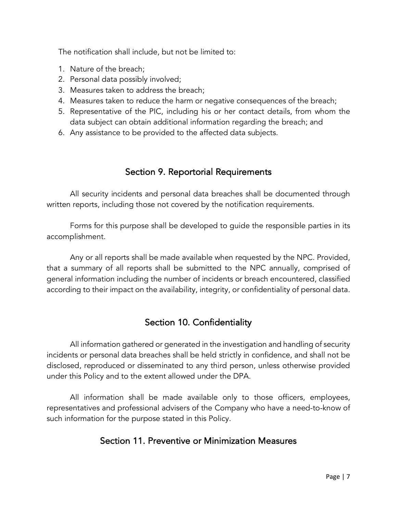The notification shall include, but not be limited to:

- 1. Nature of the breach;
- 2. Personal data possibly involved;
- 3. Measures taken to address the breach;
- 4. Measures taken to reduce the harm or negative consequences of the breach;
- 5. Representative of the PIC, including his or her contact details, from whom the data subject can obtain additional information regarding the breach; and
- 6. Any assistance to be provided to the affected data subjects.

## Section 9. Reportorial Requirements

All security incidents and personal data breaches shall be documented through written reports, including those not covered by the notification requirements.

Forms for this purpose shall be developed to guide the responsible parties in its accomplishment.

Any or all reports shall be made available when requested by the NPC. Provided, that a summary of all reports shall be submitted to the NPC annually, comprised of general information including the number of incidents or breach encountered, classified according to their impact on the availability, integrity, or confidentiality of personal data.

# Section 10. Confidentiality

All information gathered or generated in the investigation and handling of security incidents or personal data breaches shall be held strictly in confidence, and shall not be disclosed, reproduced or disseminated to any third person, unless otherwise provided under this Policy and to the extent allowed under the DPA.

All information shall be made available only to those officers, employees, representatives and professional advisers of the Company who have a need-to-know of such information for the purpose stated in this Policy.

# Section 11. Preventive or Minimization Measures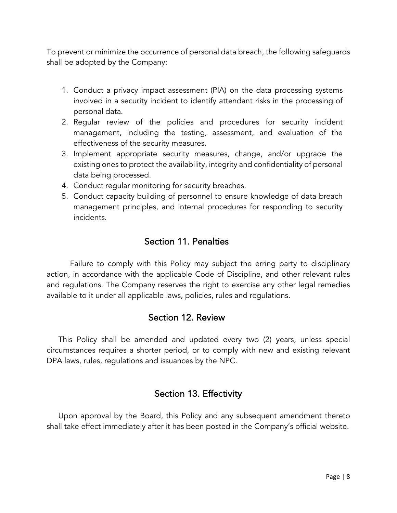To prevent or minimize the occurrence of personal data breach, the following safeguards shall be adopted by the Company:

- 1. Conduct a privacy impact assessment (PIA) on the data processing systems involved in a security incident to identify attendant risks in the processing of personal data.
- 2. Regular review of the policies and procedures for security incident management, including the testing, assessment, and evaluation of the effectiveness of the security measures.
- 3. Implement appropriate security measures, change, and/or upgrade the existing ones to protect the availability, integrity and confidentiality of personal data being processed.
- 4. Conduct regular monitoring for security breaches.
- 5. Conduct capacity building of personnel to ensure knowledge of data breach management principles, and internal procedures for responding to security incidents.

### Section 11. Penalties

Failure to comply with this Policy may subject the erring party to disciplinary action, in accordance with the applicable Code of Discipline, and other relevant rules and regulations. The Company reserves the right to exercise any other legal remedies available to it under all applicable laws, policies, rules and regulations.

### Section 12. Review

This Policy shall be amended and updated every two (2) years, unless special circumstances requires a shorter period, or to comply with new and existing relevant DPA laws, rules, regulations and issuances by the NPC.

### Section 13. Effectivity

Upon approval by the Board, this Policy and any subsequent amendment thereto shall take effect immediately after it has been posted in the Company's official website.